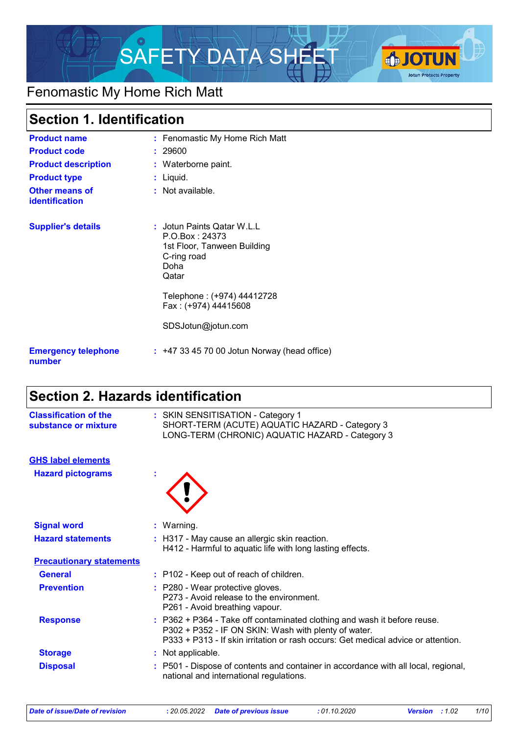

## Fenomastic My Home Rich Matt

 $\mathsf{r}$ 

| <b>Section 1. Identification</b>        |                                                                                                               |
|-----------------------------------------|---------------------------------------------------------------------------------------------------------------|
| <b>Product name</b>                     | : Fenomastic My Home Rich Matt                                                                                |
| <b>Product code</b>                     | : 29600                                                                                                       |
| <b>Product description</b>              | : Waterborne paint.                                                                                           |
| <b>Product type</b>                     | : Liquid.                                                                                                     |
| Other means of<br><b>identification</b> | $:$ Not available.                                                                                            |
| <b>Supplier's details</b>               | : Jotun Paints Qatar W.L.L<br>P. O. Box: 24373<br>1st Floor, Tanween Building<br>C-ring road<br>Doha<br>Qatar |
|                                         | Telephone: (+974) 44412728<br>Fax: (+974) 44415608                                                            |
|                                         | SDSJotun@jotun.com                                                                                            |
| <b>Emergency telephone</b><br>number    | $: +4733457000$ Jotun Norway (head office)                                                                    |

## **Section 2. Hazards identification**

| <b>Classification of the</b><br>substance or mixture | : SKIN SENSITISATION - Category 1<br>SHORT-TERM (ACUTE) AQUATIC HAZARD - Category 3<br>LONG-TERM (CHRONIC) AQUATIC HAZARD - Category 3                                                                                |
|------------------------------------------------------|-----------------------------------------------------------------------------------------------------------------------------------------------------------------------------------------------------------------------|
| <b>GHS label elements</b>                            |                                                                                                                                                                                                                       |
| <b>Hazard pictograms</b>                             |                                                                                                                                                                                                                       |
| <b>Signal word</b>                                   | : Warning.                                                                                                                                                                                                            |
| <b>Hazard statements</b>                             | : H317 - May cause an allergic skin reaction.<br>H412 - Harmful to aquatic life with long lasting effects.                                                                                                            |
| <b>Precautionary statements</b>                      |                                                                                                                                                                                                                       |
| <b>General</b>                                       | : P102 - Keep out of reach of children.                                                                                                                                                                               |
| <b>Prevention</b>                                    | : P280 - Wear protective gloves.<br>P273 - Avoid release to the environment.<br>P261 - Avoid breathing vapour.                                                                                                        |
| <b>Response</b>                                      | : P362 + P364 - Take off contaminated clothing and wash it before reuse.<br>P302 + P352 - IF ON SKIN: Wash with plenty of water.<br>P333 + P313 - If skin irritation or rash occurs: Get medical advice or attention. |
| <b>Storage</b>                                       | : Not applicable.                                                                                                                                                                                                     |
| <b>Disposal</b>                                      | : P501 - Dispose of contents and container in accordance with all local, regional,<br>national and international regulations.                                                                                         |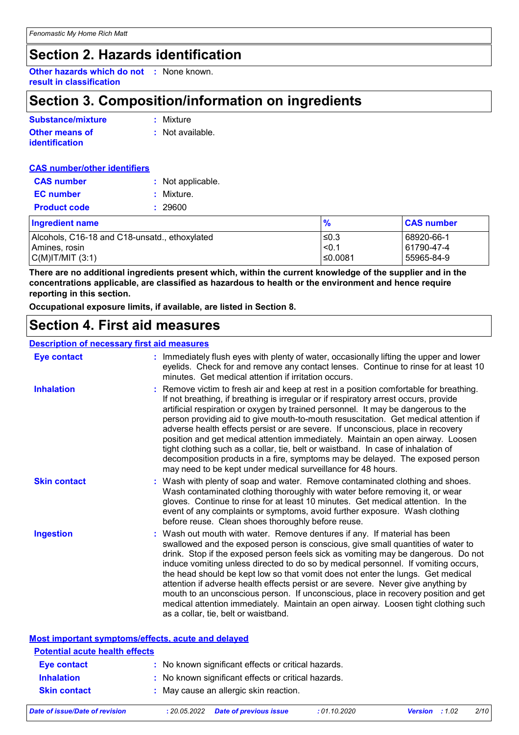### **Section 2. Hazards identification**

**Other hazards which do not :** None known. **result in classification**

### **Section 3. Composition/information on ingredients**

| Substance/mixture     | : Mixture                   |
|-----------------------|-----------------------------|
| <b>Other means of</b> | $\therefore$ Not available. |
| <i>identification</i> |                             |

| <b>CAS number/other identifiers</b> |                   |
|-------------------------------------|-------------------|
| <b>CAS number</b>                   | : Not applicable. |
| <b>EC</b> number                    | : Mixture.        |
| <b>Product code</b>                 | : 29600           |

| <b>Ingredient name</b>                        | $\frac{9}{6}$ | <b>CAS number</b> |
|-----------------------------------------------|---------------|-------------------|
| Alcohols, C16-18 and C18-unsatd., ethoxylated | ≤0.3          | 68920-66-1        |
| Amines, rosin_                                | < 0.1         | 61790-47-4        |
| C(M) T/MIT (3:1)                              | $\leq 0.0081$ | 55965-84-9        |

**There are no additional ingredients present which, within the current knowledge of the supplier and in the concentrations applicable, are classified as hazardous to health or the environment and hence require reporting in this section.**

**Occupational exposure limits, if available, are listed in Section 8.**

### **Section 4. First aid measures**

#### **Description of necessary first aid measures**

| <b>Eye contact</b>  | : Immediately flush eyes with plenty of water, occasionally lifting the upper and lower<br>eyelids. Check for and remove any contact lenses. Continue to rinse for at least 10<br>minutes. Get medical attention if irritation occurs.                                                                                                                                                                                                                                                                                                                                                                                                                                                                                                                                 |
|---------------------|------------------------------------------------------------------------------------------------------------------------------------------------------------------------------------------------------------------------------------------------------------------------------------------------------------------------------------------------------------------------------------------------------------------------------------------------------------------------------------------------------------------------------------------------------------------------------------------------------------------------------------------------------------------------------------------------------------------------------------------------------------------------|
| <b>Inhalation</b>   | : Remove victim to fresh air and keep at rest in a position comfortable for breathing.<br>If not breathing, if breathing is irregular or if respiratory arrest occurs, provide<br>artificial respiration or oxygen by trained personnel. It may be dangerous to the<br>person providing aid to give mouth-to-mouth resuscitation. Get medical attention if<br>adverse health effects persist or are severe. If unconscious, place in recovery<br>position and get medical attention immediately. Maintain an open airway. Loosen<br>tight clothing such as a collar, tie, belt or waistband. In case of inhalation of<br>decomposition products in a fire, symptoms may be delayed. The exposed person<br>may need to be kept under medical surveillance for 48 hours. |
| <b>Skin contact</b> | : Wash with plenty of soap and water. Remove contaminated clothing and shoes.<br>Wash contaminated clothing thoroughly with water before removing it, or wear<br>gloves. Continue to rinse for at least 10 minutes. Get medical attention. In the<br>event of any complaints or symptoms, avoid further exposure. Wash clothing<br>before reuse. Clean shoes thoroughly before reuse.                                                                                                                                                                                                                                                                                                                                                                                  |
| <b>Ingestion</b>    | : Wash out mouth with water. Remove dentures if any. If material has been<br>swallowed and the exposed person is conscious, give small quantities of water to<br>drink. Stop if the exposed person feels sick as vomiting may be dangerous. Do not<br>induce vomiting unless directed to do so by medical personnel. If vomiting occurs,<br>the head should be kept low so that vomit does not enter the lungs. Get medical<br>attention if adverse health effects persist or are severe. Never give anything by<br>mouth to an unconscious person. If unconscious, place in recovery position and get<br>medical attention immediately. Maintain an open airway. Loosen tight clothing such<br>as a collar, tie, belt or waistband.                                   |

#### **Most important symptoms/effects, acute and delayed**

| <b>Potential acute health effects</b> |                                                     |
|---------------------------------------|-----------------------------------------------------|
| Eye contact                           | : No known significant effects or critical hazards. |
| <b>Inhalation</b>                     | : No known significant effects or critical hazards. |
| <b>Skin contact</b>                   | : May cause an allergic skin reaction.              |
|                                       |                                                     |

*Date of issue/Date of revision* **:** *20.05.2022 Date of previous issue : 01.10.2020 Version : 1.02 2/10*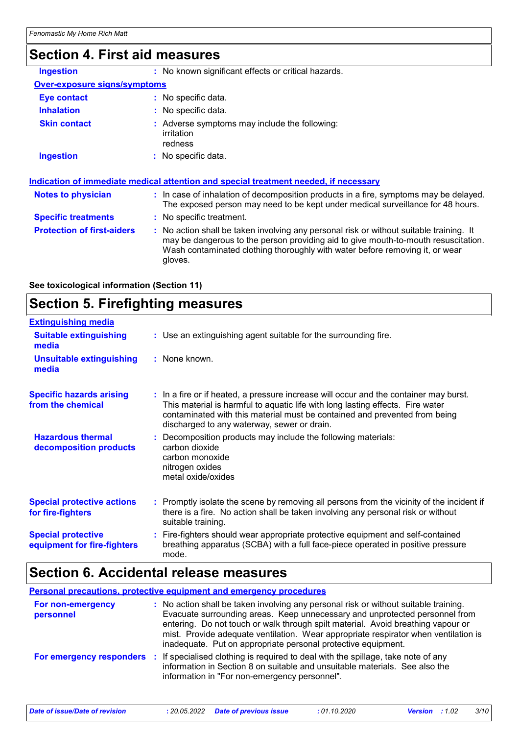## **Section 4. First aid measures**

| : No known significant effects or critical hazards.<br><b>Ingestion</b><br><b>Over-exposure signs/symptoms</b><br>: No specific data.<br>Eye contact<br><b>Inhalation</b><br>$:$ No specific data.<br><b>Skin contact</b><br>: Adverse symptoms may include the following:<br><i>irritation</i><br>redness<br><b>Ingestion</b><br>: No specific data.<br>: In case of inhalation of decomposition products in a fire, symptoms may be delayed.<br><b>Notes to physician</b><br>The exposed person may need to be kept under medical surveillance for 48 hours.<br><b>Specific treatments</b><br>: No specific treatment.<br><b>Protection of first-aiders</b><br>: No action shall be taken involving any personal risk or without suitable training. It<br>may be dangerous to the person providing aid to give mouth-to-mouth resuscitation.<br>Wash contaminated clothing thoroughly with water before removing it, or wear<br>gloves. |  |
|-------------------------------------------------------------------------------------------------------------------------------------------------------------------------------------------------------------------------------------------------------------------------------------------------------------------------------------------------------------------------------------------------------------------------------------------------------------------------------------------------------------------------------------------------------------------------------------------------------------------------------------------------------------------------------------------------------------------------------------------------------------------------------------------------------------------------------------------------------------------------------------------------------------------------------------------|--|
|                                                                                                                                                                                                                                                                                                                                                                                                                                                                                                                                                                                                                                                                                                                                                                                                                                                                                                                                           |  |
| Indication of immediate medical attention and special treatment needed, if necessary                                                                                                                                                                                                                                                                                                                                                                                                                                                                                                                                                                                                                                                                                                                                                                                                                                                      |  |
|                                                                                                                                                                                                                                                                                                                                                                                                                                                                                                                                                                                                                                                                                                                                                                                                                                                                                                                                           |  |
|                                                                                                                                                                                                                                                                                                                                                                                                                                                                                                                                                                                                                                                                                                                                                                                                                                                                                                                                           |  |
|                                                                                                                                                                                                                                                                                                                                                                                                                                                                                                                                                                                                                                                                                                                                                                                                                                                                                                                                           |  |
|                                                                                                                                                                                                                                                                                                                                                                                                                                                                                                                                                                                                                                                                                                                                                                                                                                                                                                                                           |  |
|                                                                                                                                                                                                                                                                                                                                                                                                                                                                                                                                                                                                                                                                                                                                                                                                                                                                                                                                           |  |
|                                                                                                                                                                                                                                                                                                                                                                                                                                                                                                                                                                                                                                                                                                                                                                                                                                                                                                                                           |  |
|                                                                                                                                                                                                                                                                                                                                                                                                                                                                                                                                                                                                                                                                                                                                                                                                                                                                                                                                           |  |

| See toxicological information (Section 11) |  |
|--------------------------------------------|--|
|                                            |  |

## **Section 5. Firefighting measures**

| <b>Extinguishing media</b>                               |                                                                                                                                                                                                                                                                                                      |
|----------------------------------------------------------|------------------------------------------------------------------------------------------------------------------------------------------------------------------------------------------------------------------------------------------------------------------------------------------------------|
| <b>Suitable extinguishing</b><br>media                   | : Use an extinguishing agent suitable for the surrounding fire.                                                                                                                                                                                                                                      |
| <b>Unsuitable extinguishing</b><br>media                 | : None known.                                                                                                                                                                                                                                                                                        |
| <b>Specific hazards arising</b><br>from the chemical     | : In a fire or if heated, a pressure increase will occur and the container may burst.<br>This material is harmful to aquatic life with long lasting effects. Fire water<br>contaminated with this material must be contained and prevented from being<br>discharged to any waterway, sewer or drain. |
| <b>Hazardous thermal</b><br>decomposition products       | : Decomposition products may include the following materials:<br>carbon dioxide<br>carbon monoxide<br>nitrogen oxides<br>metal oxide/oxides                                                                                                                                                          |
| <b>Special protective actions</b><br>for fire-fighters   | : Promptly isolate the scene by removing all persons from the vicinity of the incident if<br>there is a fire. No action shall be taken involving any personal risk or without<br>suitable training.                                                                                                  |
| <b>Special protective</b><br>equipment for fire-fighters | : Fire-fighters should wear appropriate protective equipment and self-contained<br>breathing apparatus (SCBA) with a full face-piece operated in positive pressure<br>mode.                                                                                                                          |

### **Section 6. Accidental release measures**

**Personal precautions, protective equipment and emergency procedures**

| For non-emergency<br>personnel | : No action shall be taken involving any personal risk or without suitable training.<br>Evacuate surrounding areas. Keep unnecessary and unprotected personnel from<br>entering. Do not touch or walk through spilt material. Avoid breathing vapour or<br>mist. Provide adequate ventilation. Wear appropriate respirator when ventilation is<br>inadequate. Put on appropriate personal protective equipment. |
|--------------------------------|-----------------------------------------------------------------------------------------------------------------------------------------------------------------------------------------------------------------------------------------------------------------------------------------------------------------------------------------------------------------------------------------------------------------|
|                                | <b>For emergency responders</b> : If specialised clothing is required to deal with the spillage, take note of any<br>information in Section 8 on suitable and unsuitable materials. See also the<br>information in "For non-emergency personnel".                                                                                                                                                               |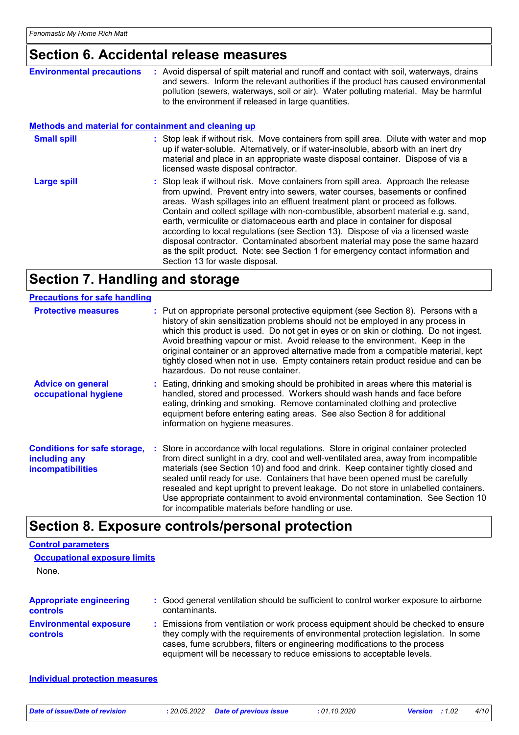### **Section 6. Accidental release measures**

| <b>Environmental precautions</b>                            | : Avoid dispersal of spilt material and runoff and contact with soil, waterways, drains<br>and sewers. Inform the relevant authorities if the product has caused environmental<br>pollution (sewers, waterways, soil or air). Water polluting material. May be harmful<br>to the environment if released in large quantities.                                                                                                                                                                                                                                                                                                                                                                                     |
|-------------------------------------------------------------|-------------------------------------------------------------------------------------------------------------------------------------------------------------------------------------------------------------------------------------------------------------------------------------------------------------------------------------------------------------------------------------------------------------------------------------------------------------------------------------------------------------------------------------------------------------------------------------------------------------------------------------------------------------------------------------------------------------------|
| <b>Methods and material for containment and cleaning up</b> |                                                                                                                                                                                                                                                                                                                                                                                                                                                                                                                                                                                                                                                                                                                   |
| <b>Small spill</b>                                          | : Stop leak if without risk. Move containers from spill area. Dilute with water and mop<br>up if water-soluble. Alternatively, or if water-insoluble, absorb with an inert dry<br>material and place in an appropriate waste disposal container. Dispose of via a<br>licensed waste disposal contractor.                                                                                                                                                                                                                                                                                                                                                                                                          |
| <b>Large spill</b>                                          | : Stop leak if without risk. Move containers from spill area. Approach the release<br>from upwind. Prevent entry into sewers, water courses, basements or confined<br>areas. Wash spillages into an effluent treatment plant or proceed as follows.<br>Contain and collect spillage with non-combustible, absorbent material e.g. sand,<br>earth, vermiculite or diatomaceous earth and place in container for disposal<br>according to local regulations (see Section 13). Dispose of via a licensed waste<br>disposal contractor. Contaminated absorbent material may pose the same hazard<br>as the spilt product. Note: see Section 1 for emergency contact information and<br>Section 13 for waste disposal. |

## **Section 7. Handling and storage**

#### **Advice on general occupational hygiene Conditions for safe storage, : Store in accordance with local regulations. Store in original container protected including any incompatibilities** Eating, drinking and smoking should be prohibited in areas where this material is **:** handled, stored and processed. Workers should wash hands and face before eating, drinking and smoking. Remove contaminated clothing and protective equipment before entering eating areas. See also Section 8 for additional information on hygiene measures. from direct sunlight in a dry, cool and well-ventilated area, away from incompatible materials (see Section 10) and food and drink. Keep container tightly closed and sealed until ready for use. Containers that have been opened must be carefully resealed and kept upright to prevent leakage. Do not store in unlabelled containers. Use appropriate containment to avoid environmental contamination. See Section 10 for incompatible materials before handling or use. **Protective measures** : Put on appropriate personal protective equipment (see Section 8). Persons with a **Protestion** history of skin sensitization problems should not be employed in any process in which this product is used. Do not get in eyes or on skin or clothing. Do not ingest. Avoid breathing vapour or mist. Avoid release to the environment. Keep in the original container or an approved alternative made from a compatible material, kept tightly closed when not in use. Empty containers retain product residue and can be hazardous. Do not reuse container. **Precautions for safe handling**

### **Section 8. Exposure controls/personal protection**

| <b>Control parameters</b><br><b>Occupational exposure limits</b><br>None. |                                                                                                                                                                                                                                                                                                                                 |
|---------------------------------------------------------------------------|---------------------------------------------------------------------------------------------------------------------------------------------------------------------------------------------------------------------------------------------------------------------------------------------------------------------------------|
| <b>Appropriate engineering</b><br>controls                                | : Good general ventilation should be sufficient to control worker exposure to airborne<br>contaminants.                                                                                                                                                                                                                         |
| <b>Environmental exposure</b><br>controls                                 | : Emissions from ventilation or work process equipment should be checked to ensure<br>they comply with the requirements of environmental protection legislation. In some<br>cases, fume scrubbers, filters or engineering modifications to the process<br>equipment will be necessary to reduce emissions to acceptable levels. |
| <b>Individual protection measures</b>                                     |                                                                                                                                                                                                                                                                                                                                 |

*Date of issue/Date of revision* **:** *20.05.2022 Date of previous issue : 01.10.2020 Version : 1.02 4/10*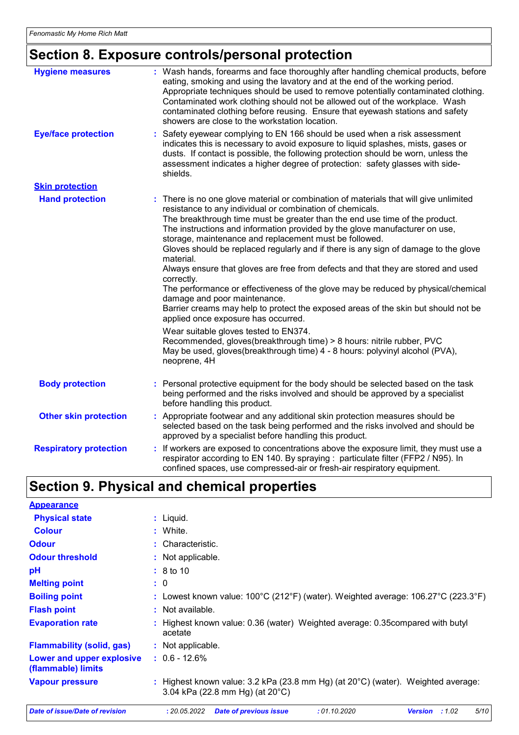# **Section 8. Exposure controls/personal protection**

| <b>Hygiene measures</b>       | : Wash hands, forearms and face thoroughly after handling chemical products, before<br>eating, smoking and using the lavatory and at the end of the working period.<br>Appropriate techniques should be used to remove potentially contaminated clothing.<br>Contaminated work clothing should not be allowed out of the workplace. Wash<br>contaminated clothing before reusing. Ensure that eyewash stations and safety<br>showers are close to the workstation location.                                                                                                                                                                                                                                                                                                                                                                                                                                                                                                                                                                           |
|-------------------------------|-------------------------------------------------------------------------------------------------------------------------------------------------------------------------------------------------------------------------------------------------------------------------------------------------------------------------------------------------------------------------------------------------------------------------------------------------------------------------------------------------------------------------------------------------------------------------------------------------------------------------------------------------------------------------------------------------------------------------------------------------------------------------------------------------------------------------------------------------------------------------------------------------------------------------------------------------------------------------------------------------------------------------------------------------------|
| <b>Eye/face protection</b>    | Safety eyewear complying to EN 166 should be used when a risk assessment<br>indicates this is necessary to avoid exposure to liquid splashes, mists, gases or<br>dusts. If contact is possible, the following protection should be worn, unless the<br>assessment indicates a higher degree of protection: safety glasses with side-<br>shields.                                                                                                                                                                                                                                                                                                                                                                                                                                                                                                                                                                                                                                                                                                      |
| <b>Skin protection</b>        |                                                                                                                                                                                                                                                                                                                                                                                                                                                                                                                                                                                                                                                                                                                                                                                                                                                                                                                                                                                                                                                       |
| <b>Hand protection</b>        | : There is no one glove material or combination of materials that will give unlimited<br>resistance to any individual or combination of chemicals.<br>The breakthrough time must be greater than the end use time of the product.<br>The instructions and information provided by the glove manufacturer on use,<br>storage, maintenance and replacement must be followed.<br>Gloves should be replaced regularly and if there is any sign of damage to the glove<br>material.<br>Always ensure that gloves are free from defects and that they are stored and used<br>correctly.<br>The performance or effectiveness of the glove may be reduced by physical/chemical<br>damage and poor maintenance.<br>Barrier creams may help to protect the exposed areas of the skin but should not be<br>applied once exposure has occurred.<br>Wear suitable gloves tested to EN374.<br>Recommended, gloves(breakthrough time) > 8 hours: nitrile rubber, PVC<br>May be used, gloves(breakthrough time) 4 - 8 hours: polyvinyl alcohol (PVA),<br>neoprene, 4H |
| <b>Body protection</b>        | : Personal protective equipment for the body should be selected based on the task<br>being performed and the risks involved and should be approved by a specialist<br>before handling this product.                                                                                                                                                                                                                                                                                                                                                                                                                                                                                                                                                                                                                                                                                                                                                                                                                                                   |
| <b>Other skin protection</b>  | : Appropriate footwear and any additional skin protection measures should be<br>selected based on the task being performed and the risks involved and should be<br>approved by a specialist before handling this product.                                                                                                                                                                                                                                                                                                                                                                                                                                                                                                                                                                                                                                                                                                                                                                                                                             |
| <b>Respiratory protection</b> | : If workers are exposed to concentrations above the exposure limit, they must use a<br>respirator according to EN 140. By spraying : particulate filter (FFP2 / N95). In<br>confined spaces, use compressed-air or fresh-air respiratory equipment.                                                                                                                                                                                                                                                                                                                                                                                                                                                                                                                                                                                                                                                                                                                                                                                                  |

## **Section 9. Physical and chemical properties**

| <b>Appearance</b>                               |                                                                                                                               |  |  |  |  |
|-------------------------------------------------|-------------------------------------------------------------------------------------------------------------------------------|--|--|--|--|
| <b>Physical state</b>                           | $:$ Liquid.                                                                                                                   |  |  |  |  |
| <b>Colour</b>                                   | : White.                                                                                                                      |  |  |  |  |
| <b>Odour</b>                                    | : Characteristic.                                                                                                             |  |  |  |  |
| <b>Odour threshold</b>                          | : Not applicable.                                                                                                             |  |  |  |  |
| рH                                              | $\div$ 8 to 10                                                                                                                |  |  |  |  |
| <b>Melting point</b>                            | : 0                                                                                                                           |  |  |  |  |
| <b>Boiling point</b>                            | : Lowest known value: $100^{\circ}$ C (212°F) (water). Weighted average: 106.27°C (223.3°F)                                   |  |  |  |  |
| <b>Flash point</b>                              | : Not available.                                                                                                              |  |  |  |  |
| <b>Evaporation rate</b>                         | : Highest known value: 0.36 (water) Weighted average: 0.35 compared with butyl<br>acetate                                     |  |  |  |  |
| <b>Flammability (solid, gas)</b>                | : Not applicable.                                                                                                             |  |  |  |  |
| Lower and upper explosive<br>(flammable) limits | $: 0.6 - 12.6%$                                                                                                               |  |  |  |  |
| <b>Vapour pressure</b>                          | : Highest known value: 3.2 kPa (23.8 mm Hg) (at 20°C) (water). Weighted average:<br>3.04 kPa (22.8 mm Hg) (at $20^{\circ}$ C) |  |  |  |  |
| Date of issue/Date of revision                  | <b>Date of previous issue</b><br>:01.10.2020<br><b>Version</b><br>:1.02<br>5/10<br>: 20.05.2022                               |  |  |  |  |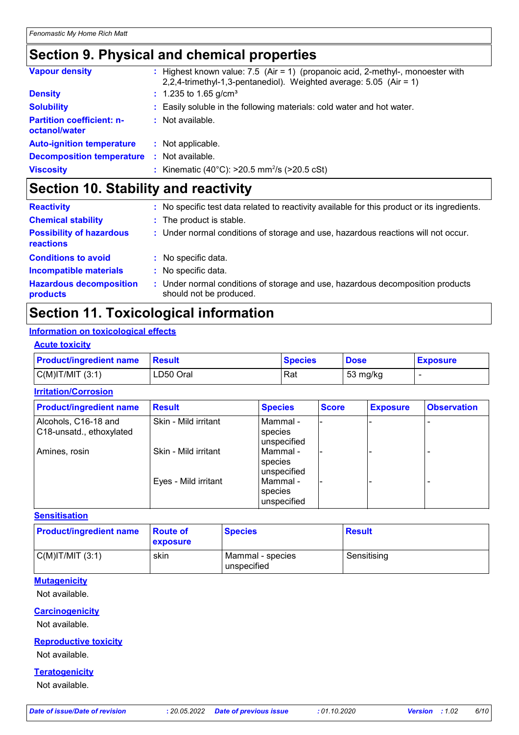## **Section 9. Physical and chemical properties**

| <b>Vapour density</b>                             | : Highest known value: $7.5$ (Air = 1) (propanoic acid, 2-methyl-, monoester with<br>2,2,4-trimethyl-1,3-pentanediol). Weighted average: $5.05$ (Air = 1) |
|---------------------------------------------------|-----------------------------------------------------------------------------------------------------------------------------------------------------------|
| <b>Density</b>                                    | $: 1.235$ to 1.65 g/cm <sup>3</sup>                                                                                                                       |
| <b>Solubility</b>                                 | : Easily soluble in the following materials: cold water and hot water.                                                                                    |
| <b>Partition coefficient: n-</b><br>octanol/water | : Not available.                                                                                                                                          |
| <b>Auto-ignition temperature</b>                  | : Not applicable.                                                                                                                                         |
| <b>Decomposition temperature</b>                  | : Not available.                                                                                                                                          |
| <b>Viscosity</b>                                  | : Kinematic (40°C): $>20.5$ mm <sup>2</sup> /s ( $>20.5$ cSt)                                                                                             |

# **Section 10. Stability and reactivity**

| <b>Reactivity</b>                            | : No specific test data related to reactivity available for this product or its ingredients.              |
|----------------------------------------------|-----------------------------------------------------------------------------------------------------------|
| <b>Chemical stability</b>                    | : The product is stable.                                                                                  |
| <b>Possibility of hazardous</b><br>reactions | : Under normal conditions of storage and use, hazardous reactions will not occur.                         |
| <b>Conditions to avoid</b>                   | : No specific data.                                                                                       |
| <b>Incompatible materials</b>                | : No specific data.                                                                                       |
| <b>Hazardous decomposition</b><br>products   | : Under normal conditions of storage and use, hazardous decomposition products<br>should not be produced. |

## **Section 11. Toxicological information**

### **Information on toxicological effects**

#### **Acute toxicity**

| <b>Product/ingredient name</b> | <b>Besult</b> | <b>Species</b> | <b>Dose</b> | <b>Exposure</b> |
|--------------------------------|---------------|----------------|-------------|-----------------|
| $C(M)$ IT/MIT $(3:1)$          | LD50 Oral     | Rat            | 53 mg/kg    |                 |

#### **Irritation/Corrosion**

| <b>Product/ingredient name</b>                   | <b>Result</b>        | <b>Species</b>                       | <b>Score</b> | <b>Exposure</b> | <b>Observation</b> |
|--------------------------------------------------|----------------------|--------------------------------------|--------------|-----------------|--------------------|
| Alcohols, C16-18 and<br>C18-unsatd., ethoxylated | Skin - Mild irritant | l Mammal -<br>species<br>unspecified |              |                 |                    |
| Amines, rosin                                    | Skin - Mild irritant | l Mammal -<br>species<br>unspecified |              |                 |                    |
|                                                  | Eyes - Mild irritant | Mammal -<br>species<br>unspecified   |              |                 |                    |

#### **Sensitisation**

| <b>Product/ingredient name</b> | ∣Route of<br>exposure | <b>Species</b>                  | <b>Result</b> |
|--------------------------------|-----------------------|---------------------------------|---------------|
| $C(M)$ IT/MIT $(3:1)$          | skin                  | Mammal - species<br>unspecified | Sensitising   |

#### **Mutagenicity**

Not available.

### **Carcinogenicity**

Not available.

#### **Reproductive toxicity**

Not available.

#### **Teratogenicity**

Not available.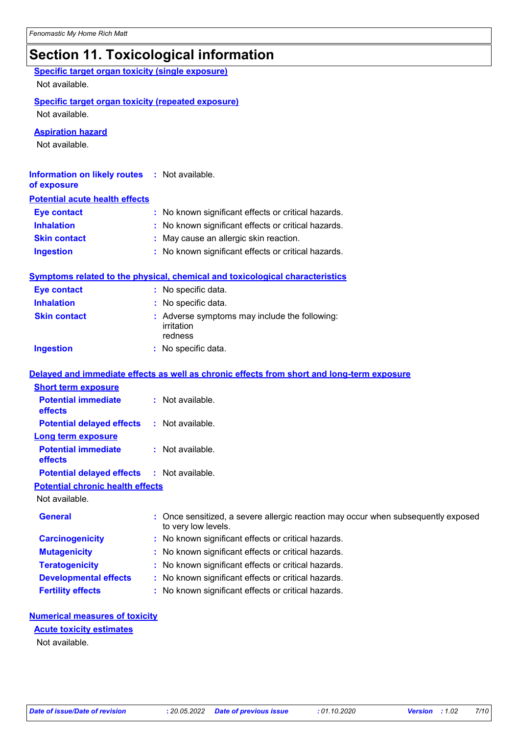# **Section 11. Toxicological information**

| <b>Specific target organ toxicity (single exposure)</b><br>Not available.   |                                                                                                        |
|-----------------------------------------------------------------------------|--------------------------------------------------------------------------------------------------------|
| <b>Specific target organ toxicity (repeated exposure)</b><br>Not available. |                                                                                                        |
| <b>Aspiration hazard</b><br>Not available.                                  |                                                                                                        |
| <b>Information on likely routes</b><br>of exposure                          | : Not available.                                                                                       |
| <b>Potential acute health effects</b>                                       |                                                                                                        |
| <b>Eye contact</b>                                                          | No known significant effects or critical hazards.                                                      |
| <b>Inhalation</b>                                                           | No known significant effects or critical hazards.                                                      |
| <b>Skin contact</b>                                                         | May cause an allergic skin reaction.                                                                   |
| <b>Ingestion</b>                                                            | No known significant effects or critical hazards.                                                      |
|                                                                             | Symptoms related to the physical, chemical and toxicological characteristics                           |
| <b>Eye contact</b>                                                          | : No specific data.                                                                                    |
| <b>Inhalation</b>                                                           | : No specific data.                                                                                    |
| <b>Skin contact</b>                                                         | : Adverse symptoms may include the following:<br>irritation<br>redness                                 |
| <b>Ingestion</b>                                                            | : No specific data.                                                                                    |
|                                                                             | Delayed and immediate effects as well as chronic effects from short and long-term exposure             |
| <b>Short term exposure</b>                                                  |                                                                                                        |
| <b>Potential immediate</b><br>effects                                       | : Not available.                                                                                       |
| <b>Potential delayed effects</b>                                            | : Not available.                                                                                       |
| <b>Long term exposure</b>                                                   |                                                                                                        |
| <b>Potential immediate</b><br>effects                                       | : Not available.                                                                                       |
| <b>Potential delayed effects</b>                                            | : Not available.                                                                                       |
| <b>Potential chronic health effects</b>                                     |                                                                                                        |
| Not available.                                                              |                                                                                                        |
| <b>General</b>                                                              | Once sensitized, a severe allergic reaction may occur when subsequently exposed<br>to very low levels. |
| <b>Carcinogenicity</b>                                                      | No known significant effects or critical hazards.                                                      |
| <b>Mutagenicity</b>                                                         | No known significant effects or critical hazards.                                                      |
| <b>Teratogenicity</b>                                                       | No known significant effects or critical hazards.<br>÷                                                 |
| <b>Developmental effects</b>                                                | No known significant effects or critical hazards.                                                      |
| <b>Fertility effects</b>                                                    | No known significant effects or critical hazards.                                                      |
| <b>Numerical measures of toxicity</b>                                       |                                                                                                        |
| <b>Acute toxicity estimates</b>                                             |                                                                                                        |

Not available.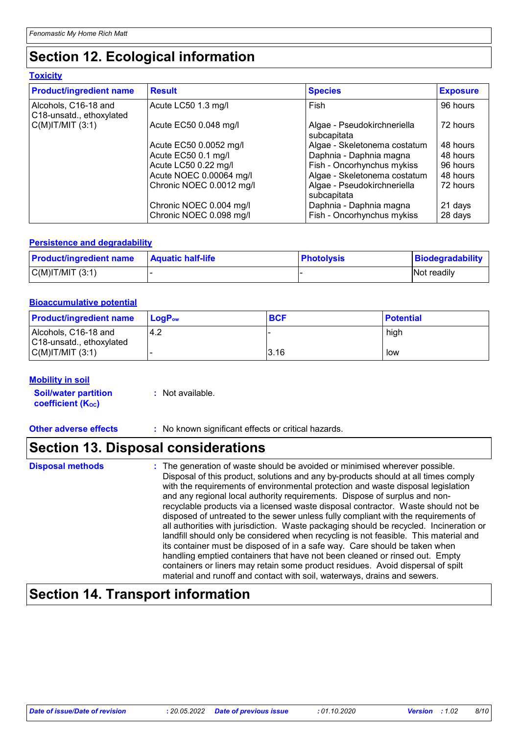## **Section 12. Ecological information**

#### **Toxicity**

| <b>Product/ingredient name</b>                   | <b>Result</b>            | <b>Species</b>                             | <b>Exposure</b> |
|--------------------------------------------------|--------------------------|--------------------------------------------|-----------------|
| Alcohols, C16-18 and<br>C18-unsatd., ethoxylated | Acute LC50 1.3 mg/l      | Fish                                       | 96 hours        |
| $C(M)$ IT/MIT $(3:1)$                            | Acute EC50 0.048 mg/l    | Algae - Pseudokirchneriella<br>subcapitata | 72 hours        |
|                                                  | Acute EC50 0.0052 mg/l   | Algae - Skeletonema costatum               | 48 hours        |
|                                                  | Acute EC50 0.1 mg/l      | Daphnia - Daphnia magna                    | 48 hours        |
|                                                  | Acute LC50 0.22 mg/l     | Fish - Oncorhynchus mykiss                 | 96 hours        |
|                                                  | Acute NOEC 0.00064 mg/l  | Algae - Skeletonema costatum               | 48 hours        |
|                                                  | Chronic NOEC 0.0012 mg/l | Algae - Pseudokirchneriella<br>subcapitata | 72 hours        |
|                                                  | Chronic NOEC 0.004 mg/l  | Daphnia - Daphnia magna                    | 21 days         |
|                                                  | Chronic NOEC 0.098 mg/l  | Fish - Oncorhynchus mykiss                 | 28 days         |

#### **Persistence and degradability**

| <b>Product/ingredient name</b> | <b>Aquatic half-life</b> | <b>Photolysis</b> | Biodegradability |
|--------------------------------|--------------------------|-------------------|------------------|
| C(M) T/MIT (3:1)               |                          |                   | Not readily      |

#### **Bioaccumulative potential**

| <b>Product/ingredient name</b>                   | <b>LogP</b> <sub>ow</sub> | <b>BCF</b> | <b>Potential</b> |
|--------------------------------------------------|---------------------------|------------|------------------|
| Alcohols, C16-18 and<br>C18-unsatd., ethoxylated | 4.2                       |            | high             |
| $C(M)$ T/MIT $(3:1)$                             |                           | 3.16       | low              |

#### **Mobility in soil**

| <b>Soil/water partition</b> | : Not available. |
|-----------------------------|------------------|
| <b>coefficient (Koc)</b>    |                  |

**Other adverse effects** : No known significant effects or critical hazards.

### **Section 13. Disposal considerations**

### **Disposal methods :**

The generation of waste should be avoided or minimised wherever possible. Disposal of this product, solutions and any by-products should at all times comply with the requirements of environmental protection and waste disposal legislation and any regional local authority requirements. Dispose of surplus and nonrecyclable products via a licensed waste disposal contractor. Waste should not be disposed of untreated to the sewer unless fully compliant with the requirements of all authorities with jurisdiction. Waste packaging should be recycled. Incineration or landfill should only be considered when recycling is not feasible. This material and its container must be disposed of in a safe way. Care should be taken when handling emptied containers that have not been cleaned or rinsed out. Empty containers or liners may retain some product residues. Avoid dispersal of spilt material and runoff and contact with soil, waterways, drains and sewers.

### **Section 14. Transport information**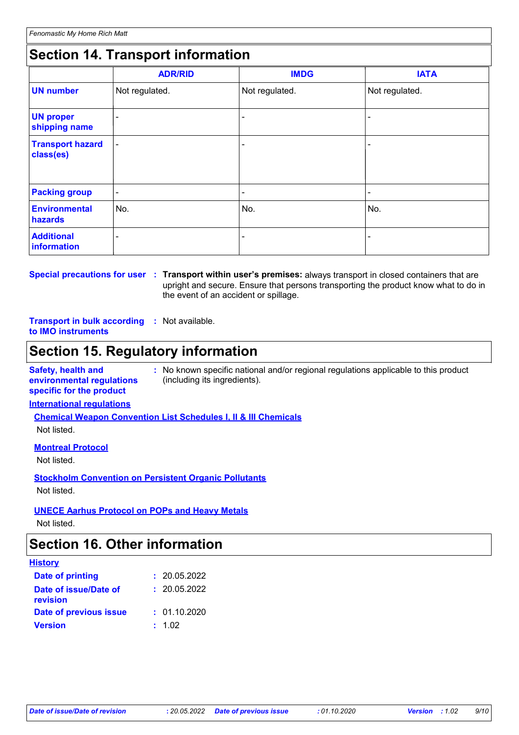## **Section 14. Transport information**

|                                      | <b>ADR/RID</b> | <b>IMDG</b>    | <b>IATA</b>    |
|--------------------------------------|----------------|----------------|----------------|
| <b>UN number</b>                     | Not regulated. | Not regulated. | Not regulated. |
| <b>UN proper</b><br>shipping name    |                |                |                |
| <b>Transport hazard</b><br>class(es) | ۰              |                |                |
| <b>Packing group</b>                 | $\blacksquare$ | -              | ٠              |
| <b>Environmental</b><br>hazards      | No.            | No.            | No.            |
| <b>Additional</b><br>information     |                |                |                |

## **Special precautions for user Transport within user's premises:** always transport in closed containers that are **:**

upright and secure. Ensure that persons transporting the product know what to do in the event of an accident or spillage.

#### **Transport in bulk according :** Not available. **to IMO instruments**

## **Section 15. Regulatory information**

**Safety, health and environmental regulations specific for the product :** No known specific national and/or regional regulations applicable to this product (including its ingredients).

#### **International regulations**

**Chemical Weapon Convention List Schedules I, II & III Chemicals**

Not listed.

#### **Montreal Protocol**

Not listed.

**Stockholm Convention on Persistent Organic Pollutants** Not listed.

### **UNECE Aarhus Protocol on POPs and Heavy Metals**

Not listed.

### **Section 16. Other information**

| <b>History</b>                    |              |
|-----------------------------------|--------------|
| <b>Date of printing</b>           | : 20.05.2022 |
| Date of issue/Date of<br>revision | : 20.05.2022 |
| Date of previous issue            | : 01.10.2020 |
| <b>Version</b>                    | : 1.02       |